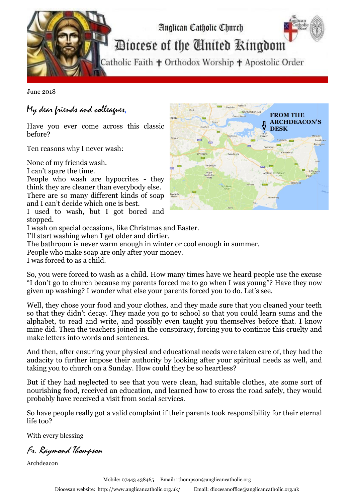

June 2018

## My dear friends and colleagues,

Have you ever come across this classic before?

Ten reasons why I never wash:

None of my friends wash.

I can't spare the time.

People who wash are hypocrites - they think they are cleaner than everybody else. There are so many different kinds of soap and I can't decide which one is best.

I used to wash, but I got bored and stopped.

I wash on special occasions, like Christmas and Easter.

I'll start washing when I get older and dirtier.

The bathroom is never warm enough in winter or cool enough in summer.

People who make soap are only after your money.

I was forced to as a child.

So, you were forced to wash as a child. How many times have we heard people use the excuse "I don't go to church because my parents forced me to go when I was young"? Have they now given up washing? I wonder what else your parents forced you to do. Let's see.

Well, they chose your food and your clothes, and they made sure that you cleaned your teeth so that they didn't decay. They made you go to school so that you could learn sums and the alphabet, to read and write, and possibly even taught you themselves before that. I know mine did. Then the teachers joined in the conspiracy, forcing you to continue this cruelty and make letters into words and sentences.

And then, after ensuring your physical and educational needs were taken care of, they had the audacity to further impose their authority by looking after your spiritual needs as well, and taking you to church on a Sunday. How could they be so heartless?

But if they had neglected to see that you were clean, had suitable clothes, ate some sort of nourishing food, received an education, and learned how to cross the road safely, they would probably have received a visit from social services.

So have people really got a valid complaint if their parents took responsibility for their eternal life too?

With every blessing

Fr. Raymond Thompson

Archdeacon